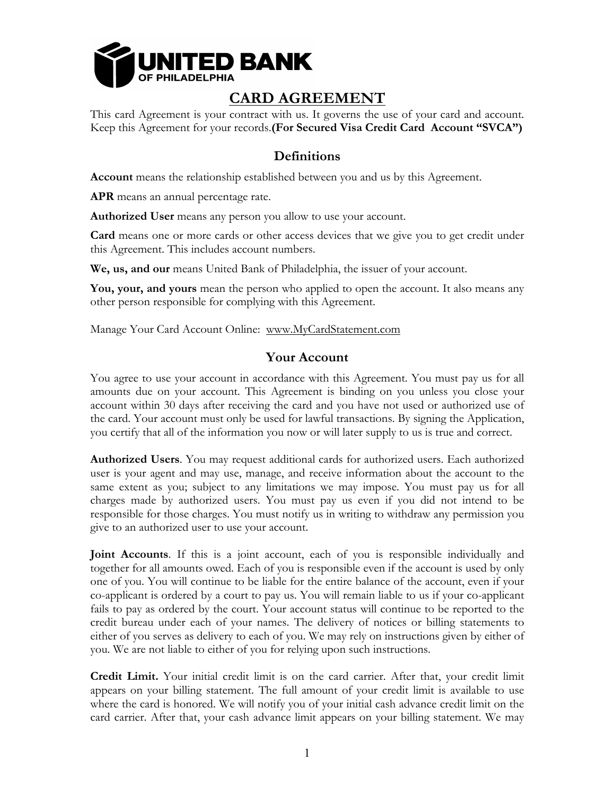

# **CARD AGREEMENT**

This card Agreement is your contract with us. It governs the use of your card and account. Keep this Agreement for your records.**(For Secured Visa Credit Card Account "SVCA")**

## **Definitions**

**Account** means the relationship established between you and us by this Agreement.

**APR** means an annual percentage rate.

**Authorized User** means any person you allow to use your account.

**Card** means one or more cards or other access devices that we give you to get credit under this Agreement. This includes account numbers.

**We, us, and our** means United Bank of Philadelphia, the issuer of your account.

**You, your, and yours** mean the person who applied to open the account. It also means any other person responsible for complying with this Agreement.

Manage Your Card Account Online: www.MyCardStatement.com

#### **Your Account**

You agree to use your account in accordance with this Agreement. You must pay us for all amounts due on your account. This Agreement is binding on you unless you close your account within 30 days after receiving the card and you have not used or authorized use of the card. Your account must only be used for lawful transactions. By signing the Application, you certify that all of the information you now or will later supply to us is true and correct.

**Authorized Users**. You may request additional cards for authorized users. Each authorized user is your agent and may use, manage, and receive information about the account to the same extent as you; subject to any limitations we may impose. You must pay us for all charges made by authorized users. You must pay us even if you did not intend to be responsible for those charges. You must notify us in writing to withdraw any permission you give to an authorized user to use your account.

**Joint Accounts**. If this is a joint account, each of you is responsible individually and together for all amounts owed. Each of you is responsible even if the account is used by only one of you. You will continue to be liable for the entire balance of the account, even if your co-applicant is ordered by a court to pay us. You will remain liable to us if your co-applicant fails to pay as ordered by the court. Your account status will continue to be reported to the credit bureau under each of your names. The delivery of notices or billing statements to either of you serves as delivery to each of you. We may rely on instructions given by either of you. We are not liable to either of you for relying upon such instructions.

**Credit Limit.** Your initial credit limit is on the card carrier. After that, your credit limit appears on your billing statement. The full amount of your credit limit is available to use where the card is honored. We will notify you of your initial cash advance credit limit on the card carrier. After that, your cash advance limit appears on your billing statement. We may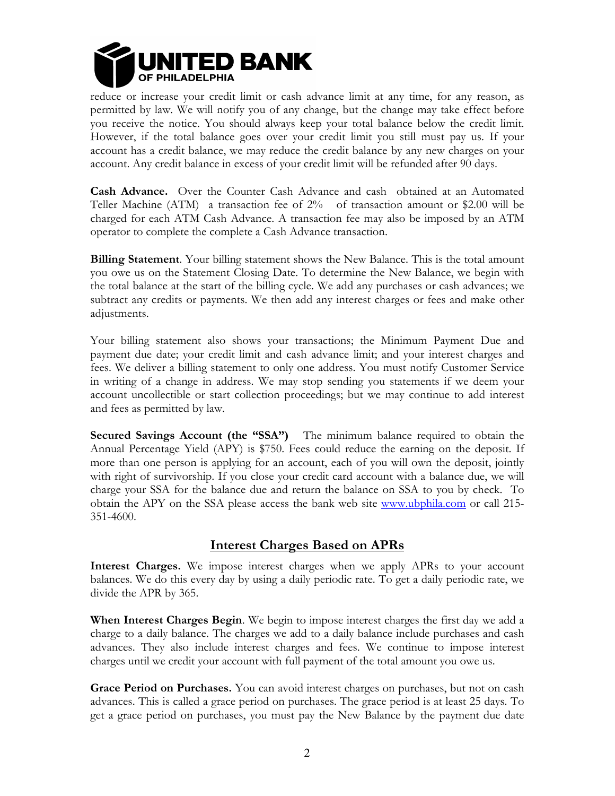

reduce or increase your credit limit or cash advance limit at any time, for any reason, as permitted by law. We will notify you of any change, but the change may take effect before you receive the notice. You should always keep your total balance below the credit limit. However, if the total balance goes over your credit limit you still must pay us. If your account has a credit balance, we may reduce the credit balance by any new charges on your account. Any credit balance in excess of your credit limit will be refunded after 90 days.

**Cash Advance.** Over the Counter Cash Advance and cash obtained at an Automated Teller Machine (ATM) a transaction fee of 2% of transaction amount or \$2.00 will be charged for each ATM Cash Advance. A transaction fee may also be imposed by an ATM operator to complete the complete a Cash Advance transaction.

**Billing Statement**. Your billing statement shows the New Balance. This is the total amount you owe us on the Statement Closing Date. To determine the New Balance, we begin with the total balance at the start of the billing cycle. We add any purchases or cash advances; we subtract any credits or payments. We then add any interest charges or fees and make other adjustments.

Your billing statement also shows your transactions; the Minimum Payment Due and payment due date; your credit limit and cash advance limit; and your interest charges and fees. We deliver a billing statement to only one address. You must notify Customer Service in writing of a change in address. We may stop sending you statements if we deem your account uncollectible or start collection proceedings; but we may continue to add interest and fees as permitted by law.

**Secured Savings Account (the "SSA")** The minimum balance required to obtain the Annual Percentage Yield (APY) is \$750. Fees could reduce the earning on the deposit. If more than one person is applying for an account, each of you will own the deposit, jointly with right of survivorship. If you close your credit card account with a balance due, we will charge your SSA for the balance due and return the balance on SSA to you by check. To obtain the APY on the SSA please access the bank web site www.ubphila.com or call 215- 351-4600.

### **Interest Charges Based on APRs**

**Interest Charges.** We impose interest charges when we apply APRs to your account balances. We do this every day by using a daily periodic rate. To get a daily periodic rate, we divide the APR by 365.

**When Interest Charges Begin**. We begin to impose interest charges the first day we add a charge to a daily balance. The charges we add to a daily balance include purchases and cash advances. They also include interest charges and fees. We continue to impose interest charges until we credit your account with full payment of the total amount you owe us.

**Grace Period on Purchases.** You can avoid interest charges on purchases, but not on cash advances. This is called a grace period on purchases. The grace period is at least 25 days. To get a grace period on purchases, you must pay the New Balance by the payment due date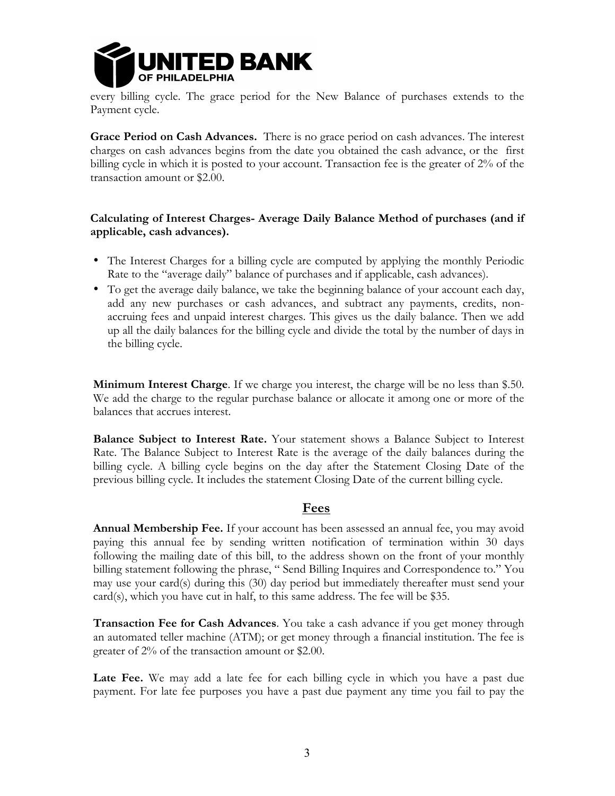

every billing cycle. The grace period for the New Balance of purchases extends to the Payment cycle.

**Grace Period on Cash Advances.** There is no grace period on cash advances. The interest charges on cash advances begins from the date you obtained the cash advance, or the first billing cycle in which it is posted to your account. Transaction fee is the greater of 2% of the transaction amount or \$2.00.

#### **Calculating of Interest Charges- Average Daily Balance Method of purchases (and if applicable, cash advances).**

- The Interest Charges for a billing cycle are computed by applying the monthly Periodic Rate to the "average daily" balance of purchases and if applicable, cash advances).
- To get the average daily balance, we take the beginning balance of your account each day, add any new purchases or cash advances, and subtract any payments, credits, nonaccruing fees and unpaid interest charges. This gives us the daily balance. Then we add up all the daily balances for the billing cycle and divide the total by the number of days in the billing cycle.

**Minimum Interest Charge**. If we charge you interest, the charge will be no less than \$.50. We add the charge to the regular purchase balance or allocate it among one or more of the balances that accrues interest.

**Balance Subject to Interest Rate.** Your statement shows a Balance Subject to Interest Rate. The Balance Subject to Interest Rate is the average of the daily balances during the billing cycle. A billing cycle begins on the day after the Statement Closing Date of the previous billing cycle. It includes the statement Closing Date of the current billing cycle.

### **Fees**

**Annual Membership Fee.** If your account has been assessed an annual fee, you may avoid paying this annual fee by sending written notification of termination within 30 days following the mailing date of this bill, to the address shown on the front of your monthly billing statement following the phrase, " Send Billing Inquires and Correspondence to." You may use your card(s) during this (30) day period but immediately thereafter must send your card(s), which you have cut in half, to this same address. The fee will be \$35.

**Transaction Fee for Cash Advances**. You take a cash advance if you get money through an automated teller machine (ATM); or get money through a financial institution. The fee is greater of 2% of the transaction amount or \$2.00.

Late Fee. We may add a late fee for each billing cycle in which you have a past due payment. For late fee purposes you have a past due payment any time you fail to pay the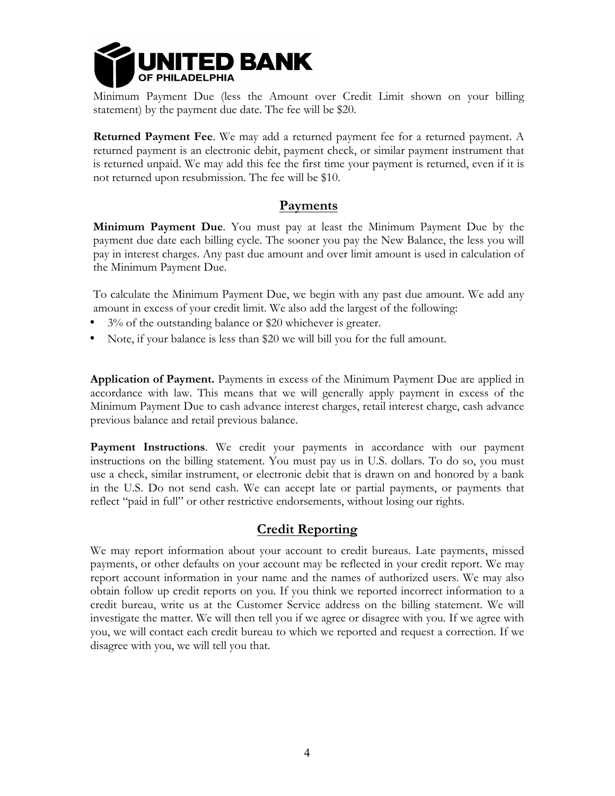

Minimum Payment Due (less the Amount over Credit Limit shown on your billing statement) by the payment due date. The fee will be \$20.

**Returned Payment Fee**. We may add a returned payment fee for a returned payment. A returned payment is an electronic debit, payment check, or similar payment instrument that is returned unpaid. We may add this fee the first time your payment is returned, even if it is not returned upon resubmission. The fee will be \$10.

#### **Payments**

**Minimum Payment Due**. You must pay at least the Minimum Payment Due by the payment due date each billing cycle. The sooner you pay the New Balance, the less you will pay in interest charges. Any past due amount and over limit amount is used in calculation of the Minimum Payment Due.

To calculate the Minimum Payment Due, we begin with any past due amount. We add any amount in excess of your credit limit. We also add the largest of the following:

- 3% of the outstanding balance or \$20 whichever is greater.
- Note, if your balance is less than \$20 we will bill you for the full amount.

**Application of Payment.** Payments in excess of the Minimum Payment Due are applied in accordance with law. This means that we will generally apply payment in excess of the Minimum Payment Due to cash advance interest charges, retail interest charge, cash advance previous balance and retail previous balance.

**Payment Instructions**. We credit your payments in accordance with our payment instructions on the billing statement. You must pay us in U.S. dollars. To do so, you must use a check, similar instrument, or electronic debit that is drawn on and honored by a bank in the U.S. Do not send cash. We can accept late or partial payments, or payments that reflect "paid in full" or other restrictive endorsements, without losing our rights.

#### **Credit Reporting**

We may report information about your account to credit bureaus. Late payments, missed payments, or other defaults on your account may be reflected in your credit report. We may report account information in your name and the names of authorized users. We may also obtain follow up credit reports on you. If you think we reported incorrect information to a credit bureau, write us at the Customer Service address on the billing statement. We will investigate the matter. We will then tell you if we agree or disagree with you. If we agree with you, we will contact each credit bureau to which we reported and request a correction. If we disagree with you, we will tell you that.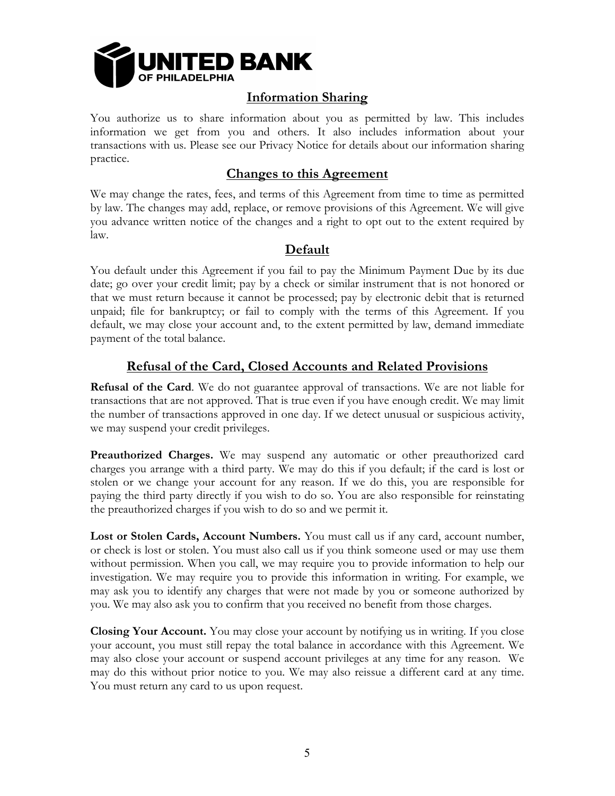

## **Information Sharing**

You authorize us to share information about you as permitted by law. This includes information we get from you and others. It also includes information about your transactions with us. Please see our Privacy Notice for details about our information sharing practice.

### **Changes to this Agreement**

We may change the rates, fees, and terms of this Agreement from time to time as permitted by law. The changes may add, replace, or remove provisions of this Agreement. We will give you advance written notice of the changes and a right to opt out to the extent required by law.

### **Default**

You default under this Agreement if you fail to pay the Minimum Payment Due by its due date; go over your credit limit; pay by a check or similar instrument that is not honored or that we must return because it cannot be processed; pay by electronic debit that is returned unpaid; file for bankruptcy; or fail to comply with the terms of this Agreement. If you default, we may close your account and, to the extent permitted by law, demand immediate payment of the total balance.

### **Refusal of the Card, Closed Accounts and Related Provisions**

**Refusal of the Card**. We do not guarantee approval of transactions. We are not liable for transactions that are not approved. That is true even if you have enough credit. We may limit the number of transactions approved in one day. If we detect unusual or suspicious activity, we may suspend your credit privileges.

**Preauthorized Charges.** We may suspend any automatic or other preauthorized card charges you arrange with a third party. We may do this if you default; if the card is lost or stolen or we change your account for any reason. If we do this, you are responsible for paying the third party directly if you wish to do so. You are also responsible for reinstating the preauthorized charges if you wish to do so and we permit it.

**Lost or Stolen Cards, Account Numbers.** You must call us if any card, account number, or check is lost or stolen. You must also call us if you think someone used or may use them without permission. When you call, we may require you to provide information to help our investigation. We may require you to provide this information in writing. For example, we may ask you to identify any charges that were not made by you or someone authorized by you. We may also ask you to confirm that you received no benefit from those charges.

**Closing Your Account.** You may close your account by notifying us in writing. If you close your account, you must still repay the total balance in accordance with this Agreement. We may also close your account or suspend account privileges at any time for any reason. We may do this without prior notice to you. We may also reissue a different card at any time. You must return any card to us upon request.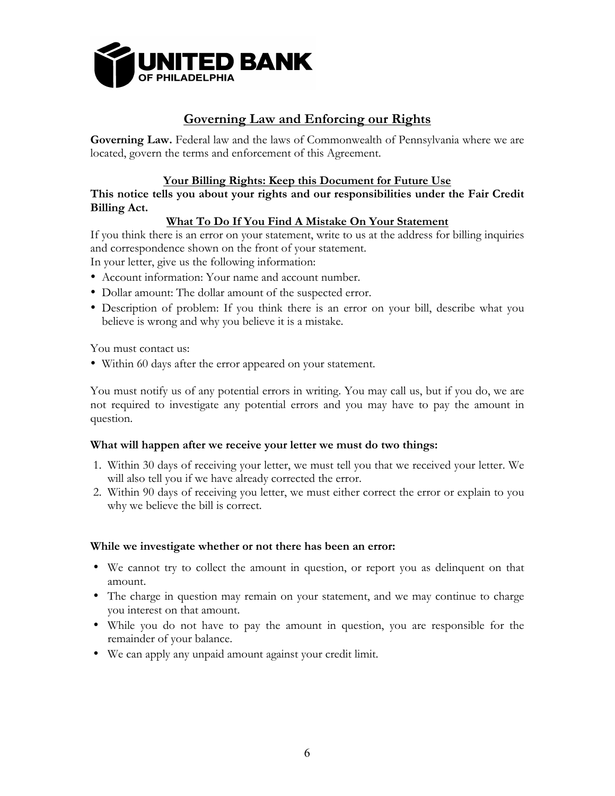

### **Governing Law and Enforcing our Rights**

**Governing Law.** Federal law and the laws of Commonwealth of Pennsylvania where we are located, govern the terms and enforcement of this Agreement.

#### **Your Billing Rights: Keep this Document for Future Use**

#### **This notice tells you about your rights and our responsibilities under the Fair Credit Billing Act.**

#### **What To Do If You Find A Mistake On Your Statement**

If you think there is an error on your statement, write to us at the address for billing inquiries and correspondence shown on the front of your statement.

In your letter, give us the following information:

- Account information: Your name and account number.
- Dollar amount: The dollar amount of the suspected error.
- Description of problem: If you think there is an error on your bill, describe what you believe is wrong and why you believe it is a mistake.

You must contact us:

• Within 60 days after the error appeared on your statement.

You must notify us of any potential errors in writing. You may call us, but if you do, we are not required to investigate any potential errors and you may have to pay the amount in question.

#### **What will happen after we receive your letter we must do two things:**

- 1. Within 30 days of receiving your letter, we must tell you that we received your letter. We will also tell you if we have already corrected the error.
- 2. Within 90 days of receiving you letter, we must either correct the error or explain to you why we believe the bill is correct.

#### **While we investigate whether or not there has been an error:**

- We cannot try to collect the amount in question, or report you as delinquent on that amount.
- The charge in question may remain on your statement, and we may continue to charge you interest on that amount.
- While you do not have to pay the amount in question, you are responsible for the remainder of your balance.
- We can apply any unpaid amount against your credit limit.